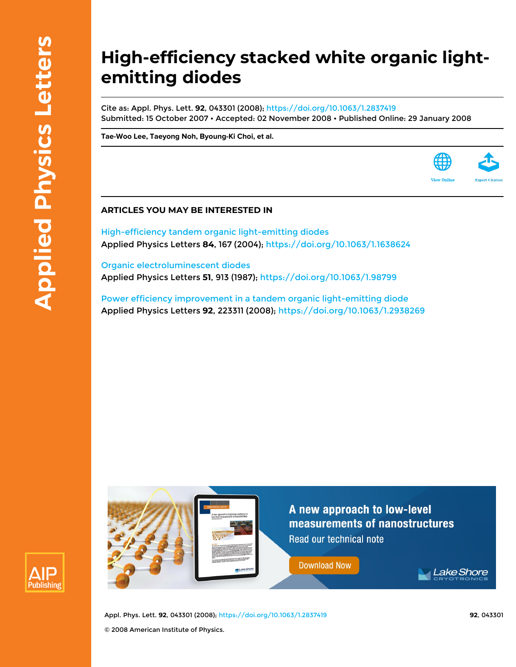## **High-efficiency stacked white organic lightemitting diodes**

Cite as: Appl. Phys. Lett. **92**, 043301 (2008);<https://doi.org/10.1063/1.2837419> Submitted: 15 October 2007 • Accepted: 02 November 2008 • Published Online: 29 January 2008

**[Tae-Woo Lee](https://aip.scitation.org/author/Lee%2C+Tae-Woo), [Taeyong Noh,](https://aip.scitation.org/author/Noh%2C+Taeyong) [Byoung-Ki Choi](https://aip.scitation.org/author/Choi%2C+Byoung-Ki), et al.**

## **ARTICLES YOU MAY BE INTERESTED IN**

[High-efficiency tandem organic light-emitting diodes](https://aip.scitation.org/doi/10.1063/1.1638624) Applied Physics Letters **84**, 167 (2004); <https://doi.org/10.1063/1.1638624>

[Organic electroluminescent diodes](https://aip.scitation.org/doi/10.1063/1.98799) Applied Physics Letters **51**, 913 (1987); <https://doi.org/10.1063/1.98799>

[Power efficiency improvement in a tandem organic light-emitting diode](https://aip.scitation.org/doi/10.1063/1.2938269) Applied Physics Letters **92**, 223311 (2008);<https://doi.org/10.1063/1.2938269>





Appl. Phys. Lett. **92**, 043301 (2008); <https://doi.org/10.1063/1.2837419> **92**, 043301 © 2008 American Institute of Physics.

**View Onlin**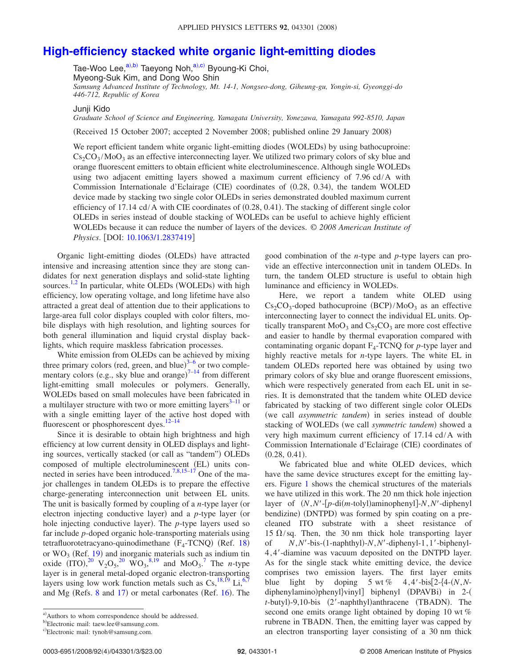## **[High-efficiency stacked white organic light-emitting diodes](http://dx.doi.org/10.1063/1.2837419)**

Tae-Woo Lee, $a^{(a),b)}$  $a^{(a),b)}$  $a^{(a),b)}$  Taeyong Noh, $a^{(a),c)}$  $a^{(a),c)}$  $a^{(a),c)}$  Byoung-Ki Choi, Myeong-Suk Kim, and Dong Woo Shin *Samsung Advanced Institute of Technology, Mt. 14-1, Nongseo-dong, Giheung-gu, Yongin-si, Gyeonggi-do 446-712, Republic of Korea*

Junji Kido

*Graduate School of Science and Engineering, Yamagata University, Yonezawa, Yamagata 992-8510, Japan*

(Received 15 October 2007; accepted 2 November 2008; published online 29 January 2008)

We report efficient tandem white organic light-emitting diodes (WOLEDs) by using bathocuproine:  $Cs<sub>2</sub>CO<sub>3</sub>/MoO<sub>3</sub>$  as an effective interconnecting layer. We utilized two primary colors of sky blue and orange fluorescent emitters to obtain efficient white electroluminescence. Although single WOLEDs using two adjacent emitting layers showed a maximum current efficiency of 7.96 cd/A with Commission Internationale d'Eclairage (CIE) coordinates of (0.28, 0.34), the tandem WOLED device made by stacking two single color OLEDs in series demonstrated doubled maximum current efficiency of 17.14 cd/A with CIE coordinates of (0.28, 0.41). The stacking of different single color OLEDs in series instead of double stacking of WOLEDs can be useful to achieve highly efficient WOLEDs because it can reduce the number of layers of the devices. © *2008 American Institute of Physics.* [DOI: [10.1063/1.2837419](http://dx.doi.org/10.1063/1.2837419)]

Organic light-emitting diodes (OLEDs) have attracted intensive and increasing attention since they are stong candidates for next generation displays and solid-state lighting sources.<sup>[1,](#page-3-0)[2](#page-3-1)</sup> In particular, white OLEDs (WOLEDs) with high efficiency, low operating voltage, and long lifetime have also attracted a great deal of attention due to their applications to large-area full color displays coupled with color filters, mobile displays with high resolution, and lighting sources for both general illumination and liquid crystal display backlights, which require maskless fabrication processes.

White emission from OLEDs can be achieved by mixing three primary colors (red, green, and blue) $3-6$  $3-6$  or two complementary colors (e.g., sky blue and orange) $7^{-14}$  $7^{-14}$  from different light-emitting small molecules or polymers. Generally, WOLEDs based on small molecules have been fabricated in a multilayer structure with two or more emitting layers<sup>3-11</sup> or with a single emitting layer of the active host doped with fluorescent or phosphorescent dyes. $12-14$ 

Since it is desirable to obtain high brightness and high efficiency at low current density in OLED displays and lighting sources, vertically stacked (or call as "tandem") OLEDs composed of multiple electroluminescent (EL) units con-nected in series have been introduced.<sup>7,[8](#page-3-8)[,15–](#page-3-9)[17](#page-3-10)</sup> One of the major challenges in tandem OLEDs is to prepare the effective charge-generating interconnection unit between EL units. The unit is basically formed by coupling of a *n*-type layer (or electron injecting conductive layer) and a *p*-type layer (or hole injecting conductive layer). The *p*-type layers used so far include *p*-doped organic hole-transporting materials using tetrafluorotetracyano-quinodimethane  $(F_4$ -TCNQ) (Ref. [18](#page-3-11)) or  $WO_3$  (Ref. [19](#page-3-12)) and inorganic materials such as indium tin oxide  $(TTO),^{20} V_2O_5,^{20} WO_3,^{8,19}$  $(TTO),^{20} V_2O_5,^{20} WO_3,^{8,19}$  $(TTO),^{20} V_2O_5,^{20} WO_3,^{8,19}$  $(TTO),^{20} V_2O_5,^{20} WO_3,^{8,19}$  $(TTO),^{20} V_2O_5,^{20} WO_3,^{8,19}$  $(TTO),^{20} V_2O_5,^{20} WO_3,^{8,19}$  and  $MO_3$ .<sup>[7](#page-3-4)</sup> The *n*-type layer is in general metal-doped organic electron-transporting layers using low work function metals such as  $Cs$ ,  $^{18,19}$  $^{18,19}$  $^{18,19}$  Li,  $^{6,7}$  $^{6,7}$  $^{6,7}$ and Mg (Refs. [8](#page-3-8) and [17](#page-3-10)) or metal carbonates (Ref. [16](#page-3-14)). The

good combination of the *n*-type and *p*-type layers can provide an effective interconnection unit in tandem OLEDs. In turn, the tandem OLED structure is useful to obtain high luminance and efficiency in WOLEDs.

Here, we report a tandem white OLED using  $Cs_2CO_3$ -doped bathocuproine (BCP)/MoO<sub>3</sub> as an effective interconnecting layer to connect the individual EL units. Optically transparent  $MoO<sub>3</sub>$  and  $Cs<sub>2</sub>CO<sub>3</sub>$  are more cost effective and easier to handle by thermal evaporation compared with contaminating organic dopant  $F_4$ -TCNQ for  $p$ -type layer and highly reactive metals for *n*-type layers. The white EL in tandem OLEDs reported here was obtained by using two primary colors of sky blue and orange fluorescent emissions, which were respectively generated from each EL unit in series. It is demonstrated that the tandem white OLED device fabricated by stacking of two different single color OLEDs (we call *asymmetric tandem*) in series instead of double stacking of WOLEDs (we call *symmetric tandem*) showed a very high maximum current efficiency of 17.14 cd/A with Commission Internationale d'Eclairage (CIE) coordinates of  $(0.28, 0.41).$ 

We fabricated blue and white OLED devices, which have the same device structures except for the emitting layers. Figure [1](#page-2-0) shows the chemical structures of the materials we have utilized in this work. The 20 nm thick hole injection layer of  $(N, N'-[p-\text{di}(m-\text{tolyl})$ aminophenyl]-*N*,*N'*-diphenyl bendizine) (DNTPD) was formed by spin coating on a precleaned ITO substrate with a sheet resistance of 15  $\Omega$ /sq. Then, the 30 nm thick hole transporting layer of *N*,*N*-bis-1-naphthyl--*N*,*N*-diphenyl-1, 1-biphenyl-4,4-diamine was vacuum deposited on the DNTPD layer. As for the single stack white emitting device, the device comprises two emission layers. The first layer emits blue light by doping 5 wt % 4, 4'-bis[2-{4- $(N, N$ diphenylamino)phenyl}vinyl] biphenyl (DPAVBi) in 2-( t-butyl)-9,10-bis (2'-naphthyl)anthracene (TBADN). The second one emits orange light obtained by doping 10 wt % rubrene in TBADN. Then, the emitting layer was capped by an electron transporting layer consisting of a 30 nm thick

<span id="page-1-2"></span><span id="page-1-1"></span><span id="page-1-0"></span>a) Authors to whom correspondence should be addressed.

b)Electronic mail: taew.lee@samsung.com.

c)Electronic mail: tynoh@samsung.com.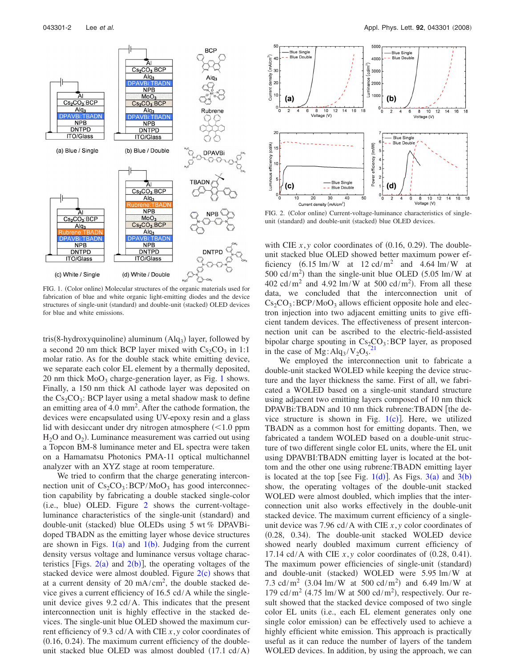<span id="page-2-0"></span>

FIG. 1. (Color online) Molecular structures of the organic materials used for fabrication of blue and white organic light-emitting diodes and the device structures of single-unit (standard) and double-unit (stacked) OLED devices for blue and white emissions.

tris(8-hydroxyquinoline) aluminum (Alq<sub>3</sub>) layer, followed by a second 20 nm thick BCP layer mixed with  $Cs_2CO_3$  in 1:1 molar ratio. As for the double stack white emitting device, we separate each color EL element by a thermally deposited, 20 nm thick  $MoO<sub>3</sub>$  charge-generation layer, as Fig. [1](#page-2-0) shows. Finally, a 150 nm thick Al cathode layer was deposited on the  $Cs_2CO_3$ : BCP layer using a metal shadow mask to define an emitting area of 4.0 mm<sup>2</sup>. After the cathode formation, the devices were encapsulated using UV-epoxy resin and a glass lid with desiccant under dry nitrogen atmosphere  $(<1.0$  ppm  $H_2O$  and  $O_2$ ). Luminance measurement was carried out using a Topcon BM-8 luminance meter and EL spectra were taken on a Hamamatsu Photonics PMA-11 optical multichannel analyzer with an XYZ stage at room temperature.

We tried to confirm that the charge generating interconnection unit of  $Cs_2CO_3$ : BCP/MoO<sub>3</sub> has good interconnection capability by fabricating a double stacked single-color (i.e., blue) OLED. Figure [2](#page-2-1) shows the current-voltageluminance characteristics of the single-unit (standard) and double-unit (stacked) blue OLEDs using 5 wt % DPAVBidoped TBADN as the emitting layer whose device structures are shown in Figs.  $1(a)$  $1(a)$  and  $1(b)$ . Judging from the current density versus voltage and luminance versus voltage characteristics [Figs.  $2(a)$  $2(a)$  and  $2(b)$ ], the operating voltages of the stacked device were almost doubled. Figure  $2(c)$  $2(c)$  shows that at a current density of  $20 \text{ mA/cm}^2$ , the double stacked device gives a current efficiency of 16.5 cd/A while the singleunit device gives 9.2 cd/A. This indicates that the present interconnection unit is highly effective in the stacked devices. The single-unit blue OLED showed the maximum current efficiency of 9.3 cd/A with CIE *x*, *y* color coordinates of  $(0.16, 0.24)$ . The maximum current efficiency of the doubleunit stacked blue OLED was almost doubled  $(17.1 \text{ cd/A})$ 

<span id="page-2-1"></span>

FIG. 2. (Color online) Current-voltage-luminance characteristics of singleunit (standard) and double-unit (stacked) blue OLED devices.

with CIE  $x, y$  color coordinates of  $(0.16, 0.29)$ . The doubleunit stacked blue OLED showed better maximum power efficiency  $(6.15 \text{ lm/W}$  at  $12 \text{ cd/m}^2$  and  $4.64 \text{ lm/W}$  at 500 cd/m<sup>2</sup>) than the single-unit blue OLED  $(5.05 \text{ lm/W at}$  $402 \text{ cd/m}^2$  and  $4.92 \text{ lm/W}$  at  $500 \text{ cd/m}^2$ ). From all these data, we concluded that the interconnection unit of  $Cs_2CO_3$ : BCP/MoO<sub>3</sub> allows efficient opposite hole and electron injection into two adjacent emitting units to give efficient tandem devices. The effectiveness of present interconnection unit can be ascribed to the electric-field-assisted bipolar charge spouting in  $Cs_2CO_3$ : BCP layer, as proposed in the case of  $Mg: Alq_3/V_2O_5^{21}$  $Mg: Alq_3/V_2O_5^{21}$  $Mg: Alq_3/V_2O_5^{21}$ 

We employed the interconnection unit to fabricate a double-unit stacked WOLED while keeping the device structure and the layer thickness the same. First of all, we fabricated a WOLED based on a single-unit standard structure using adjacent two emitting layers composed of 10 nm thick  $DPAVBi: TBADN$  and 10 nm thick rubrene: $TBADN$  [the device structure is shown in Fig.  $1(c)$  $1(c)$ ]. Here, we utilized TBADN as a common host for emitting dopants. Then, we fabricated a tandem WOLED based on a double-unit structure of two different single color EL units, where the EL unit using DPAVBI:TBADN emitting layer is located at the bottom and the other one using rubrene:TBADN emitting layer is located at the top [see Fig.  $1(d)$  $1(d)$ ]. As Figs.  $3(a)$  $3(a)$  and  $3(b)$ show, the operating voltages of the double-unit stacked WOLED were almost doubled, which implies that the interconnection unit also works effectively in the double-unit stacked device. The maximum current efficiency of a singleunit device was 7.96 cd/A with CIE *x*, *y* color coordinates of (0.28, 0.34). The double-unit stacked WOLED device showed nearly doubled maximum current efficiency of 17.14 cd/A with CIE  $x, y$  color coordinates of  $(0.28, 0.41)$ . The maximum power efficiencies of single-unit (standard) and double-unit (stacked) WOLED were 5.95 lm/W at 7.3 cd/m<sup>2</sup> (3.04 lm/W at 500 cd/m<sup>2</sup>) and 6.49 lm/W at 179 cd/m<sup>2</sup> (4.75 lm/W at 500 cd/m<sup>2</sup>), respectively. Our result showed that the stacked device composed of two single color EL units (i.e., each EL element generates only one single color emission) can be effectively used to achieve a highly efficient white emission. This approach is practically useful as it can reduce the number of layers of the tandem WOLED devices. In addition, by using the approach, we can